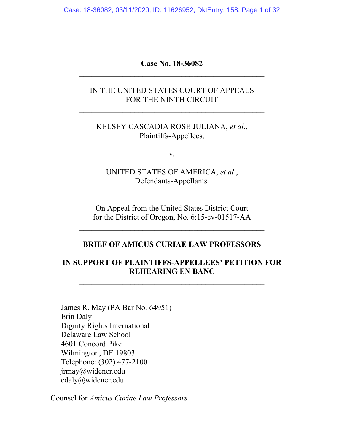Case: 18-36082, 03/11/2020, ID: 11626952, DktEntry: 158, Page 1 of 32

**Case No. 18-36082**  $\overline{\phantom{a}}$  , and the contribution of the contribution of  $\overline{\phantom{a}}$ 

#### IN THE UNITED STATES COURT OF APPEALS FOR THE NINTH CIRCUIT

 $\overline{\phantom{a}}$  , and the contribution of the contribution of  $\overline{\phantom{a}}$ 

#### KELSEY CASCADIA ROSE JULIANA, *et al*., Plaintiffs-Appellees,

v.

UNITED STATES OF AMERICA, *et al*., Defendants-Appellants.

 $\overline{\phantom{a}}$  , and the contribution of the contribution of  $\overline{\phantom{a}}$ 

On Appeal from the United States District Court for the District of Oregon, No. 6:15-cv-01517-AA

 $\overline{\phantom{a}}$  , and the contribution of the contribution of  $\overline{\phantom{a}}$ 

#### **BRIEF OF AMICUS CURIAE LAW PROFESSORS**

#### **IN SUPPORT OF PLAINTIFFS-APPELLEES' PETITION FOR REHEARING EN BANC**

James R. May (PA Bar No. 64951) Erin Daly Dignity Rights International Delaware Law School 4601 Concord Pike Wilmington, DE 19803 Telephone: (302) 477-2100 jrmay@widener.edu edaly@widener.edu

Counsel for *Amicus Curiae Law Professors*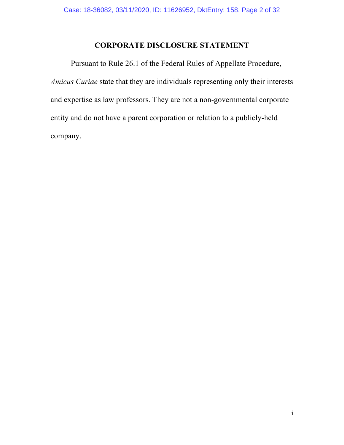## **CORPORATE DISCLOSURE STATEMENT**

Pursuant to Rule 26.1 of the Federal Rules of Appellate Procedure, *Amicus Curiae* state that they are individuals representing only their interests and expertise as law professors. They are not a non-governmental corporate entity and do not have a parent corporation or relation to a publicly-held company.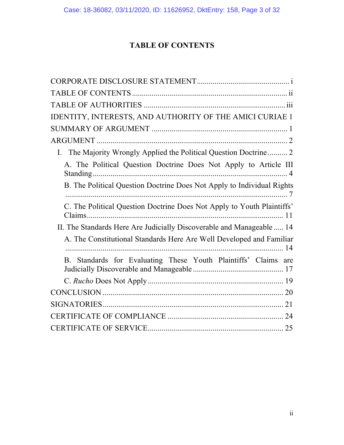# **TABLE OF CONTENTS**

| IDENTITY, INTERESTS, AND AUTHORITY OF THE AMICI CURIAE 1                          |
|-----------------------------------------------------------------------------------|
|                                                                                   |
|                                                                                   |
| The Majority Wrongly Applied the Political Question Doctrine  2<br>$\mathbf{I}$ . |
| A. The Political Question Doctrine Does Not Apply to Article III                  |
| B. The Political Question Doctrine Does Not Apply to Individual Rights            |
| C. The Political Question Doctrine Does Not Apply to Youth Plaintiffs'<br>11      |
| II. The Standards Here Are Judicially Discoverable and Manageable  14             |
| A. The Constitutional Standards Here Are Well Developed and Familiar<br>14        |
| B. Standards for Evaluating These Youth Plaintiffs' Claims are                    |
|                                                                                   |
|                                                                                   |
|                                                                                   |
|                                                                                   |
|                                                                                   |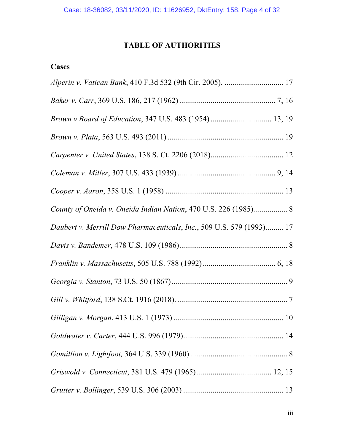# **TABLE OF AUTHORITIES**

# **Cases**

| Daubert v. Merrill Dow Pharmaceuticals, Inc., 509 U.S. 579 (1993) 17 |  |
|----------------------------------------------------------------------|--|
|                                                                      |  |
|                                                                      |  |
|                                                                      |  |
|                                                                      |  |
|                                                                      |  |
|                                                                      |  |
|                                                                      |  |
|                                                                      |  |
|                                                                      |  |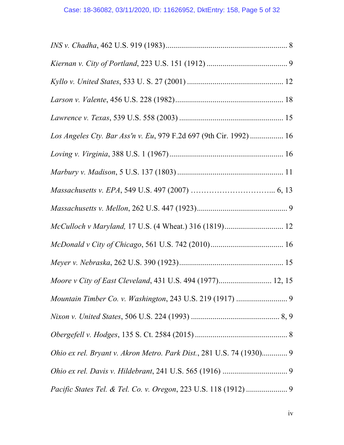| Los Angeles Cty. Bar Ass'n v. Eu, 979 F.2d 697 (9th Cir. 1992)  16   |  |
|----------------------------------------------------------------------|--|
|                                                                      |  |
|                                                                      |  |
|                                                                      |  |
|                                                                      |  |
|                                                                      |  |
|                                                                      |  |
|                                                                      |  |
| Moore v City of East Cleveland, 431 U.S. 494 (1977) 12, 15           |  |
|                                                                      |  |
|                                                                      |  |
|                                                                      |  |
| Ohio ex rel. Bryant v. Akron Metro. Park Dist., 281 U.S. 74 (1930) 9 |  |
|                                                                      |  |
|                                                                      |  |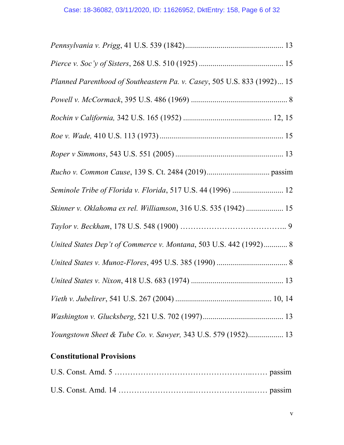| Planned Parenthood of Southeastern Pa. v. Casey, 505 U.S. 833 (1992) 15 |  |
|-------------------------------------------------------------------------|--|
|                                                                         |  |
|                                                                         |  |
|                                                                         |  |
|                                                                         |  |
|                                                                         |  |
| Seminole Tribe of Florida v. Florida, 517 U.S. 44 (1996)  12            |  |
| Skinner v. Oklahoma ex rel. Williamson, 316 U.S. 535 (1942)  15         |  |
|                                                                         |  |
| United States Dep't of Commerce v. Montana, 503 U.S. 442 (1992) 8       |  |
|                                                                         |  |
|                                                                         |  |
|                                                                         |  |
|                                                                         |  |
| Youngstown Sheet & Tube Co. v. Sawyer, 343 U.S. 579 (1952) 13           |  |

# **Constitutional Provisions**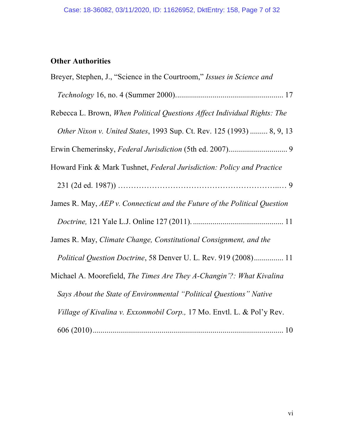# **Other Authorities**

| Breyer, Stephen, J., "Science in the Courtroom," Issues in Science and    |
|---------------------------------------------------------------------------|
|                                                                           |
| Rebecca L. Brown, When Political Questions Affect Individual Rights: The  |
| Other Nixon v. United States, 1993 Sup. Ct. Rev. 125 (1993)  8, 9, 13     |
|                                                                           |
| Howard Fink & Mark Tushnet, Federal Jurisdiction: Policy and Practice     |
|                                                                           |
| James R. May, AEP v. Connecticut and the Future of the Political Question |
|                                                                           |
| James R. May, Climate Change, Constitutional Consignment, and the         |
| <i>Political Question Doctrine, 58 Denver U. L. Rev. 919 (2008) 11</i>    |
| Michael A. Moorefield, The Times Are They A-Changin'?: What Kivalina      |
| Says About the State of Environmental "Political Questions" Native        |
| Village of Kivalina v. Exxonmobil Corp., 17 Mo. Envtl. L. & Pol'y Rev.    |
|                                                                           |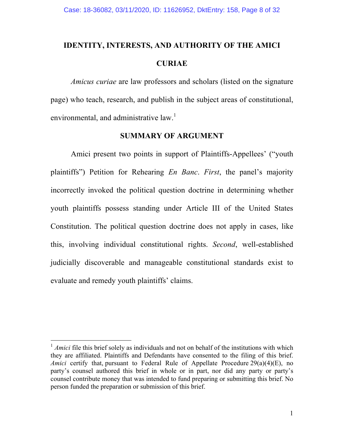# **IDENTITY, INTERESTS, AND AUTHORITY OF THE AMICI CURIAE**

*Amicus curiae* are law professors and scholars (listed on the signature page) who teach, research, and publish in the subject areas of constitutional, environmental, and administrative  $law<sup>1</sup>$ .

#### **SUMMARY OF ARGUMENT**

Amici present two points in support of Plaintiffs-Appellees' ("youth plaintiffs") Petition for Rehearing *En Banc*. *First*, the panel's majority incorrectly invoked the political question doctrine in determining whether youth plaintiffs possess standing under Article III of the United States Constitution. The political question doctrine does not apply in cases, like this, involving individual constitutional rights. *Second*, well-established judicially discoverable and manageable constitutional standards exist to evaluate and remedy youth plaintiffs' claims.

<sup>&</sup>lt;sup>1</sup> *Amici* file this brief solely as individuals and not on behalf of the institutions with which they are affiliated. Plaintiffs and Defendants have consented to the filing of this brief. *Amici* certify that, pursuant to Federal Rule of Appellate Procedure 29(a)(4)(E), no party's counsel authored this brief in whole or in part, nor did any party or party's counsel contribute money that was intended to fund preparing or submitting this brief. No person funded the preparation or submission of this brief.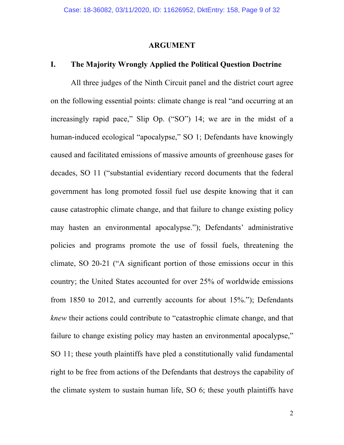#### **ARGUMENT**

## **I. The Majority Wrongly Applied the Political Question Doctrine**

All three judges of the Ninth Circuit panel and the district court agree on the following essential points: climate change is real "and occurring at an increasingly rapid pace," Slip Op. ("SO") 14; we are in the midst of a human-induced ecological "apocalypse," SO 1; Defendants have knowingly caused and facilitated emissions of massive amounts of greenhouse gases for decades, SO 11 ("substantial evidentiary record documents that the federal government has long promoted fossil fuel use despite knowing that it can cause catastrophic climate change, and that failure to change existing policy may hasten an environmental apocalypse."); Defendants' administrative policies and programs promote the use of fossil fuels, threatening the climate, SO 20-21 ("A significant portion of those emissions occur in this country; the United States accounted for over 25% of worldwide emissions from 1850 to 2012, and currently accounts for about 15%."); Defendants *knew* their actions could contribute to "catastrophic climate change, and that failure to change existing policy may hasten an environmental apocalypse," SO 11; these youth plaintiffs have pled a constitutionally valid fundamental right to be free from actions of the Defendants that destroys the capability of the climate system to sustain human life, SO 6; these youth plaintiffs have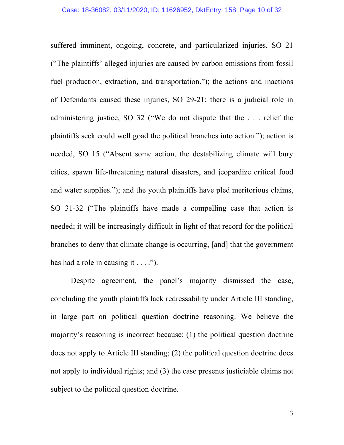suffered imminent, ongoing, concrete, and particularized injuries, SO 21 ("The plaintiffs' alleged injuries are caused by carbon emissions from fossil fuel production, extraction, and transportation."); the actions and inactions of Defendants caused these injuries, SO 29-21; there is a judicial role in administering justice, SO 32 ("We do not dispute that the . . . relief the plaintiffs seek could well goad the political branches into action."); action is needed, SO 15 ("Absent some action, the destabilizing climate will bury cities, spawn life-threatening natural disasters, and jeopardize critical food and water supplies."); and the youth plaintiffs have pled meritorious claims, SO 31-32 ("The plaintiffs have made a compelling case that action is needed; it will be increasingly difficult in light of that record for the political branches to deny that climate change is occurring, [and] that the government has had a role in causing it  $\dots$ ").

Despite agreement, the panel's majority dismissed the case, concluding the youth plaintiffs lack redressability under Article III standing, in large part on political question doctrine reasoning. We believe the majority's reasoning is incorrect because: (1) the political question doctrine does not apply to Article III standing; (2) the political question doctrine does not apply to individual rights; and (3) the case presents justiciable claims not subject to the political question doctrine.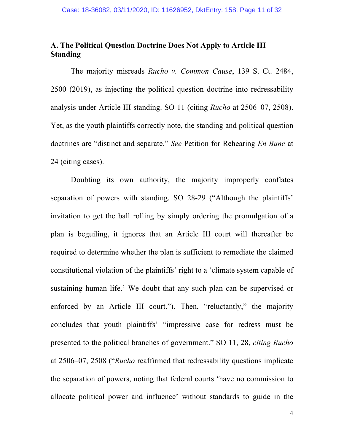## **A. The Political Question Doctrine Does Not Apply to Article III Standing**

The majority misreads *Rucho v. Common Cause*, 139 S. Ct. 2484, 2500 (2019), as injecting the political question doctrine into redressability analysis under Article III standing. SO 11 (citing *Rucho* at 2506–07, 2508). Yet, as the youth plaintiffs correctly note, the standing and political question doctrines are "distinct and separate." *See* Petition for Rehearing *En Banc* at 24 (citing cases).

Doubting its own authority, the majority improperly conflates separation of powers with standing. SO 28-29 ("Although the plaintiffs' invitation to get the ball rolling by simply ordering the promulgation of a plan is beguiling, it ignores that an Article III court will thereafter be required to determine whether the plan is sufficient to remediate the claimed constitutional violation of the plaintiffs' right to a 'climate system capable of sustaining human life.' We doubt that any such plan can be supervised or enforced by an Article III court."). Then, "reluctantly," the majority concludes that youth plaintiffs' "impressive case for redress must be presented to the political branches of government." SO 11, 28, *citing Rucho* at 2506–07, 2508 ("*Rucho* reaffirmed that redressability questions implicate the separation of powers, noting that federal courts 'have no commission to allocate political power and influence' without standards to guide in the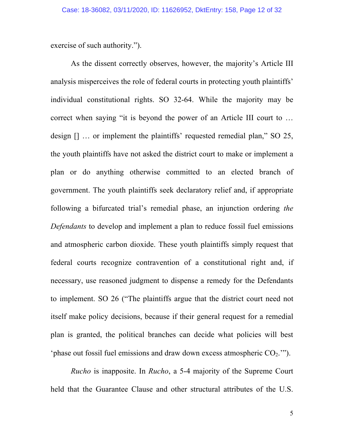exercise of such authority.").

As the dissent correctly observes, however, the majority's Article III analysis misperceives the role of federal courts in protecting youth plaintiffs' individual constitutional rights. SO 32-64. While the majority may be correct when saying "it is beyond the power of an Article III court to … design [] … or implement the plaintiffs' requested remedial plan," SO 25, the youth plaintiffs have not asked the district court to make or implement a plan or do anything otherwise committed to an elected branch of government. The youth plaintiffs seek declaratory relief and, if appropriate following a bifurcated trial's remedial phase, an injunction ordering *the Defendants* to develop and implement a plan to reduce fossil fuel emissions and atmospheric carbon dioxide. These youth plaintiffs simply request that federal courts recognize contravention of a constitutional right and, if necessary, use reasoned judgment to dispense a remedy for the Defendants to implement. SO 26 ("The plaintiffs argue that the district court need not itself make policy decisions, because if their general request for a remedial plan is granted, the political branches can decide what policies will best 'phase out fossil fuel emissions and draw down excess atmospheric  $CO<sub>2</sub>$ .'").

*Rucho* is inapposite. In *Rucho*, a 5-4 majority of the Supreme Court held that the Guarantee Clause and other structural attributes of the U.S.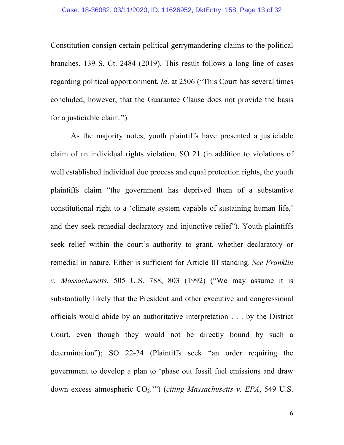Constitution consign certain political gerrymandering claims to the political branches. 139 S. Ct. 2484 (2019). This result follows a long line of cases regarding political apportionment. *Id*. at 2506 ("This Court has several times concluded, however, that the Guarantee Clause does not provide the basis for a justiciable claim.").

As the majority notes, youth plaintiffs have presented a justiciable claim of an individual rights violation. SO 21 (in addition to violations of well established individual due process and equal protection rights, the youth plaintiffs claim "the government has deprived them of a substantive constitutional right to a 'climate system capable of sustaining human life,' and they seek remedial declaratory and injunctive relief"). Youth plaintiffs seek relief within the court's authority to grant, whether declaratory or remedial in nature. Either is sufficient for Article III standing. *See Franklin v. Massachusetts*, 505 U.S. 788, 803 (1992) ("We may assume it is substantially likely that the President and other executive and congressional officials would abide by an authoritative interpretation . . . by the District Court, even though they would not be directly bound by such a determination"); SO 22-24 (Plaintiffs seek "an order requiring the government to develop a plan to 'phase out fossil fuel emissions and draw down excess atmospheric CO<sub>2</sub>.'") (*citing Massachusetts v. EPA*, 549 U.S.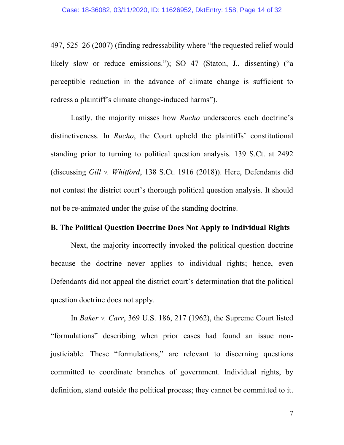497, 525–26 (2007) (finding redressability where "the requested relief would likely slow or reduce emissions."); SO 47 (Staton, J., dissenting) ("a perceptible reduction in the advance of climate change is sufficient to redress a plaintiff's climate change-induced harms").

Lastly, the majority misses how *Rucho* underscores each doctrine's distinctiveness. In *Rucho*, the Court upheld the plaintiffs' constitutional standing prior to turning to political question analysis. 139 S.Ct. at 2492 (discussing *Gill v. Whitford*, 138 S.Ct. 1916 (2018)). Here, Defendants did not contest the district court's thorough political question analysis. It should not be re-animated under the guise of the standing doctrine.

#### **B. The Political Question Doctrine Does Not Apply to Individual Rights**

Next, the majority incorrectly invoked the political question doctrine because the doctrine never applies to individual rights; hence, even Defendants did not appeal the district court's determination that the political question doctrine does not apply.

In *Baker v. Carr*, 369 U.S. 186, 217 (1962), the Supreme Court listed "formulations" describing when prior cases had found an issue nonjusticiable. These "formulations," are relevant to discerning questions committed to coordinate branches of government. Individual rights, by definition, stand outside the political process; they cannot be committed to it.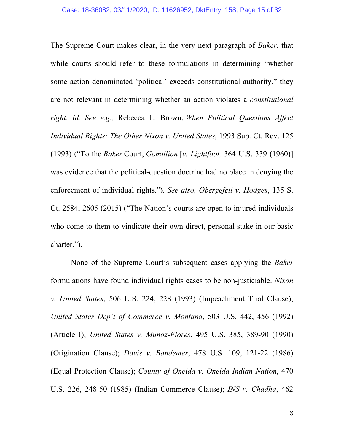The Supreme Court makes clear, in the very next paragraph of *Baker*, that while courts should refer to these formulations in determining "whether some action denominated 'political' exceeds constitutional authority," they are not relevant in determining whether an action violates a *constitutional right. Id. See e.g.,* Rebecca L. Brown, *When Political Questions Affect Individual Rights: The Other Nixon v. United States*, 1993 Sup. Ct. Rev. 125 (1993) ("To the *Baker* Court, *Gomillion* [*v. Lightfoot,* 364 U.S. 339 (1960)] was evidence that the political-question doctrine had no place in denying the enforcement of individual rights."). *See also, Obergefell v. Hodges*, 135 S. Ct. 2584, 2605 (2015) ("The Nation's courts are open to injured individuals who come to them to vindicate their own direct, personal stake in our basic charter.").

None of the Supreme Court's subsequent cases applying the *Baker* formulations have found individual rights cases to be non-justiciable. *Nixon v. United States*, 506 U.S. 224, 228 (1993) (Impeachment Trial Clause); *United States Dep't of Commerce v. Montana*, 503 U.S. 442, 456 (1992) (Article I); *United States v. Munoz-Flores*, 495 U.S. 385, 389-90 (1990) (Origination Clause); *Davis v. Bandemer*, 478 U.S. 109, 121-22 (1986) (Equal Protection Clause); *County of Oneida v. Oneida Indian Nation*, 470 U.S. 226, 248-50 (1985) (Indian Commerce Clause); *INS v. Chadha*, 462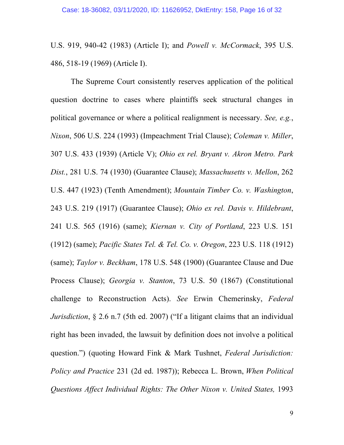U.S. 919, 940-42 (1983) (Article I); and *Powell v. McCormack*, 395 U.S. 486, 518-19 (1969) (Article I).

The Supreme Court consistently reserves application of the political question doctrine to cases where plaintiffs seek structural changes in political governance or where a political realignment is necessary. *See, e.g.*, *Nixon*, 506 U.S. 224 (1993) (Impeachment Trial Clause); *Coleman v. Miller*, 307 U.S. 433 (1939) (Article V); *Ohio ex rel. Bryant v. Akron Metro. Park Dist.*, 281 U.S. 74 (1930) (Guarantee Clause); *Massachusetts v. Mellon*, 262 U.S. 447 (1923) (Tenth Amendment); *Mountain Timber Co. v. Washington*, 243 U.S. 219 (1917) (Guarantee Clause); *Ohio ex rel. Davis v. Hildebrant*, 241 U.S. 565 (1916) (same); *Kiernan v. City of Portland*, 223 U.S. 151 (1912) (same); *Pacific States Tel. & Tel. Co. v. Oregon*, 223 U.S. 118 (1912) (same); *Taylor v. Beckham*, 178 U.S. 548 (1900) (Guarantee Clause and Due Process Clause); *Georgia v. Stanton*, 73 U.S. 50 (1867) (Constitutional challenge to Reconstruction Acts). *See* Erwin Chemerinsky, *Federal Jurisdiction*, § 2.6 n.7 (5th ed. 2007) ("If a litigant claims that an individual right has been invaded, the lawsuit by definition does not involve a political question.") (quoting Howard Fink & Mark Tushnet, *Federal Jurisdiction: Policy and Practice* 231 (2d ed. 1987)); Rebecca L. Brown, *When Political Questions Affect Individual Rights: The Other Nixon v. United States,* 1993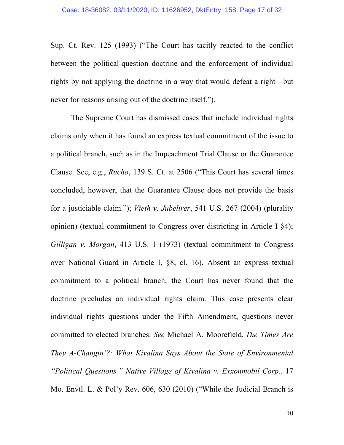Sup. Ct. Rev. 125 (1993) ("The Court has tacitly reacted to the conflict between the political-question doctrine and the enforcement of individual rights by not applying the doctrine in a way that would defeat a right—but never for reasons arising out of the doctrine itself.").

The Supreme Court has dismissed cases that include individual rights claims only when it has found an express textual commitment of the issue to a political branch, such as in the Impeachment Trial Clause or the Guarantee Clause. See, e.g., *Rucho*, 139 S. Ct. at 2506 ("This Court has several times concluded, however, that the Guarantee Clause does not provide the basis for a justiciable claim."); *Vieth v. Jubelirer*, 541 U.S. 267 (2004) (plurality opinion) (textual commitment to Congress over districting in Article I §4); *Gilligan v. Morgan*, 413 U.S. 1 (1973) (textual commitment to Congress over National Guard in Article I, §8, cl. 16). Absent an express textual commitment to a political branch, the Court has never found that the doctrine precludes an individual rights claim. This case presents clear individual rights questions under the Fifth Amendment, questions never committed to elected branches. *See* Michael A. Moorefield, *The Times Are They A-Changin'?: What Kivalina Says About the State of Environmental "Political Questions." Native Village of Kivalina v. Exxonmobil Corp.,* 17 Mo. Envtl. L. & Pol'y Rev. 606, 630 (2010) ("While the Judicial Branch is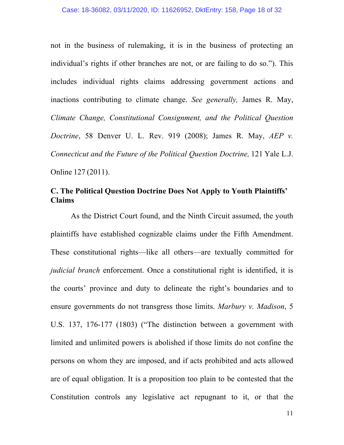not in the business of rulemaking, it is in the business of protecting an individual's rights if other branches are not, or are failing to do so."). This includes individual rights claims addressing government actions and inactions contributing to climate change. *See generally,* James R. May, *Climate Change, Constitutional Consignment, and the Political Question Doctrine*, 58 Denver U. L. Rev. 919 (2008); James R. May, *AEP v. Connecticut and the Future of the Political Question Doctrine,* 121 Yale L.J. Online 127 (2011).

## **C. The Political Question Doctrine Does Not Apply to Youth Plaintiffs' Claims**

As the District Court found, and the Ninth Circuit assumed, the youth plaintiffs have established cognizable claims under the Fifth Amendment. These constitutional rights—like all others—are textually committed for *judicial branch* enforcement. Once a constitutional right is identified, it is the courts' province and duty to delineate the right's boundaries and to ensure governments do not transgress those limits. *Marbury v. Madison*, 5 U.S. 137, 176-177 (1803) ("The distinction between a government with limited and unlimited powers is abolished if those limits do not confine the persons on whom they are imposed, and if acts prohibited and acts allowed are of equal obligation. It is a proposition too plain to be contested that the Constitution controls any legislative act repugnant to it, or that the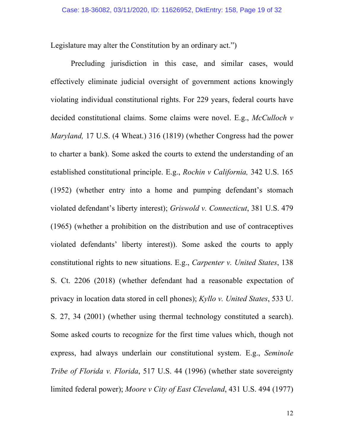Legislature may alter the Constitution by an ordinary act.")

Precluding jurisdiction in this case, and similar cases, would effectively eliminate judicial oversight of government actions knowingly violating individual constitutional rights. For 229 years, federal courts have decided constitutional claims. Some claims were novel. E.g., *McCulloch v Maryland,* 17 U.S. (4 Wheat.) 316 (1819) (whether Congress had the power to charter a bank). Some asked the courts to extend the understanding of an established constitutional principle. E.g., *Rochin v California,* 342 U.S. 165 (1952) (whether entry into a home and pumping defendant's stomach violated defendant's liberty interest); *Griswold v. Connecticut*, 381 U.S. 479 (1965) (whether a prohibition on the distribution and use of contraceptives violated defendants' liberty interest)). Some asked the courts to apply constitutional rights to new situations. E.g., *Carpenter v. United States*, 138 S. Ct. 2206 (2018) (whether defendant had a reasonable expectation of privacy in location data stored in cell phones); *Kyllo v. United States*, 533 U. S. 27, 34 (2001) (whether using thermal technology constituted a search). Some asked courts to recognize for the first time values which, though not express, had always underlain our constitutional system. E.g., *Seminole Tribe of Florida v. Florida*, 517 U.S. 44 (1996) (whether state sovereignty limited federal power); *Moore v City of East Cleveland*, 431 U.S. 494 (1977)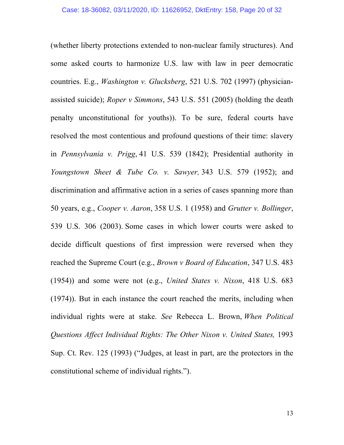(whether liberty protections extended to non-nuclear family structures). And some asked courts to harmonize U.S. law with law in peer democratic countries. E.g., *Washington v. Glucksberg*, 521 U.S. 702 (1997) (physicianassisted suicide); *Roper v Simmons*, 543 U.S. 551 (2005) (holding the death penalty unconstitutional for youths)). To be sure, federal courts have resolved the most contentious and profound questions of their time: slavery in *Pennsylvania v. Prigg*, 41 U.S. 539 (1842); Presidential authority in *Youngstown Sheet & Tube Co. v. Sawyer,* 343 U.S. 579 (1952); and discrimination and affirmative action in a series of cases spanning more than 50 years, e.g., *Cooper v. Aaron*, 358 U.S. 1 (1958) and *Grutter v. Bollinger*, 539 U.S. 306 (2003). Some cases in which lower courts were asked to decide difficult questions of first impression were reversed when they reached the Supreme Court (e.g., *Brown v Board of Education*, 347 U.S. 483 (1954)) and some were not (e.g., *United States v. Nixon*, 418 U.S. 683 (1974)). But in each instance the court reached the merits, including when individual rights were at stake. *See* Rebecca L. Brown, *When Political Questions Affect Individual Rights: The Other Nixon v. United States,* 1993 Sup. Ct. Rev. 125 (1993) ("Judges, at least in part, are the protectors in the constitutional scheme of individual rights.").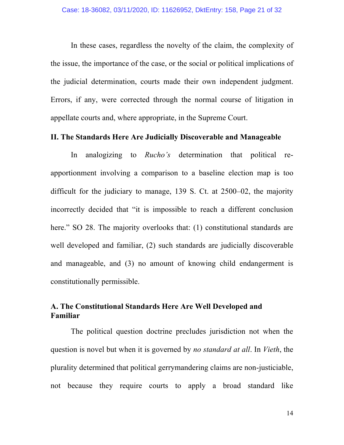In these cases, regardless the novelty of the claim, the complexity of the issue, the importance of the case, or the social or political implications of the judicial determination, courts made their own independent judgment. Errors, if any, were corrected through the normal course of litigation in appellate courts and, where appropriate, in the Supreme Court.

#### **II. The Standards Here Are Judicially Discoverable and Manageable**

In analogizing to *Rucho's* determination that political reapportionment involving a comparison to a baseline election map is too difficult for the judiciary to manage, 139 S. Ct. at 2500–02, the majority incorrectly decided that "it is impossible to reach a different conclusion here." SO 28. The majority overlooks that: (1) constitutional standards are well developed and familiar, (2) such standards are judicially discoverable and manageable, and (3) no amount of knowing child endangerment is constitutionally permissible.

## **A. The Constitutional Standards Here Are Well Developed and Familiar**

The political question doctrine precludes jurisdiction not when the question is novel but when it is governed by *no standard at all*. In *Vieth*, the plurality determined that political gerrymandering claims are non-justiciable, not because they require courts to apply a broad standard like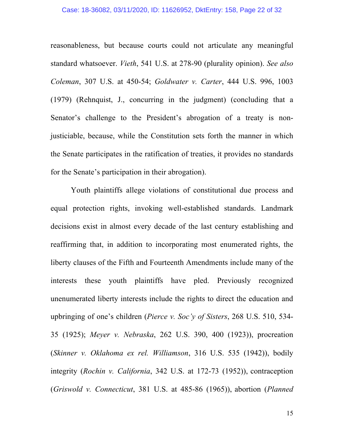#### Case: 18-36082, 03/11/2020, ID: 11626952, DktEntry: 158, Page 22 of 32

reasonableness, but because courts could not articulate any meaningful standard whatsoever. *Vieth*, 541 U.S. at 278-90 (plurality opinion). *See also Coleman*, 307 U.S. at 450-54; *Goldwater v. Carter*, 444 U.S. 996, 1003 (1979) (Rehnquist, J., concurring in the judgment) (concluding that a Senator's challenge to the President's abrogation of a treaty is nonjusticiable, because, while the Constitution sets forth the manner in which the Senate participates in the ratification of treaties, it provides no standards for the Senate's participation in their abrogation).

Youth plaintiffs allege violations of constitutional due process and equal protection rights, invoking well-established standards. Landmark decisions exist in almost every decade of the last century establishing and reaffirming that, in addition to incorporating most enumerated rights, the liberty clauses of the Fifth and Fourteenth Amendments include many of the interests these youth plaintiffs have pled. Previously recognized unenumerated liberty interests include the rights to direct the education and upbringing of one's children (*Pierce v. Soc'y of Sisters*, 268 U.S. 510, 534- 35 (1925); *Meyer v. Nebraska*, 262 U.S. 390, 400 (1923)), procreation (*Skinner v. Oklahoma ex rel. Williamson*, 316 U.S. 535 (1942)), bodily integrity (*Rochin v. California*, 342 U.S. at 172-73 (1952)), contraception (*Griswold v. Connecticut*, 381 U.S. at 485-86 (1965)), abortion (*Planned*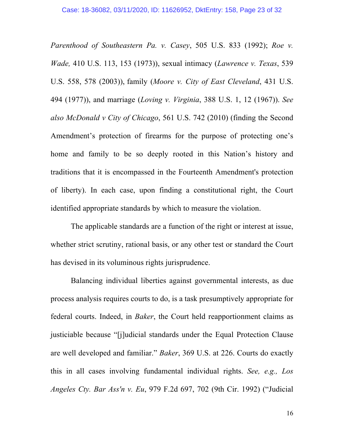*Parenthood of Southeastern Pa. v. Casey*, 505 U.S. 833 (1992); *Roe v. Wade,* 410 U.S. 113, 153 (1973)), sexual intimacy (*Lawrence v. Texas*, 539 U.S. 558, 578 (2003)), family (*Moore v. City of East Cleveland*, 431 U.S. 494 (1977)), and marriage (*Loving v. Virginia*, 388 U.S. 1, 12 (1967)). *See also McDonald v City of Chicago*, 561 U.S. 742 (2010) (finding the Second Amendment's protection of firearms for the purpose of protecting one's home and family to be so deeply rooted in this Nation's history and traditions that it is encompassed in the Fourteenth Amendment's protection of liberty). In each case, upon finding a constitutional right, the Court identified appropriate standards by which to measure the violation.

The applicable standards are a function of the right or interest at issue, whether strict scrutiny, rational basis, or any other test or standard the Court has devised in its voluminous rights jurisprudence.

Balancing individual liberties against governmental interests, as due process analysis requires courts to do, is a task presumptively appropriate for federal courts. Indeed, in *Baker*, the Court held reapportionment claims as justiciable because "[j]udicial standards under the Equal Protection Clause are well developed and familiar." *Baker*, 369 U.S. at 226. Courts do exactly this in all cases involving fundamental individual rights. *See, e.g., Los Angeles Cty. Bar Ass'n v. Eu*, 979 F.2d 697, 702 (9th Cir. 1992) ("Judicial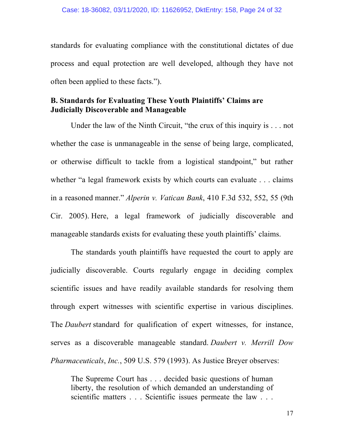standards for evaluating compliance with the constitutional dictates of due process and equal protection are well developed, although they have not often been applied to these facts.").

## **B. Standards for Evaluating These Youth Plaintiffs' Claims are Judicially Discoverable and Manageable**

Under the law of the Ninth Circuit, "the crux of this inquiry is . . . not whether the case is unmanageable in the sense of being large, complicated, or otherwise difficult to tackle from a logistical standpoint," but rather whether "a legal framework exists by which courts can evaluate . . . claims in a reasoned manner." *Alperin v. Vatican Bank*, 410 F.3d 532, 552, 55 (9th Cir. 2005). Here, a legal framework of judicially discoverable and manageable standards exists for evaluating these youth plaintiffs' claims.

The standards youth plaintiffs have requested the court to apply are judicially discoverable. Courts regularly engage in deciding complex scientific issues and have readily available standards for resolving them through expert witnesses with scientific expertise in various disciplines. The *Daubert* standard for qualification of expert witnesses, for instance, serves as a discoverable manageable standard. *Daubert v. Merrill Dow Pharmaceuticals*, *Inc.*, 509 U.S. 579 (1993). As Justice Breyer observes:

The Supreme Court has . . . decided basic questions of human liberty, the resolution of which demanded an understanding of scientific matters . . . Scientific issues permeate the law . . .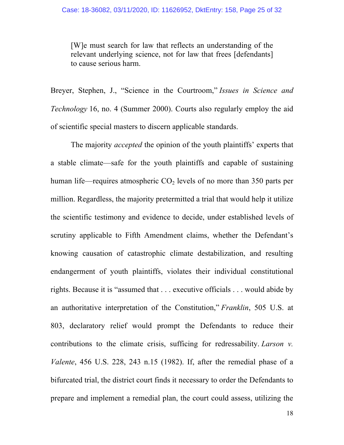[W]e must search for law that reflects an understanding of the relevant underlying science, not for law that frees [defendants] to cause serious harm.

Breyer, Stephen, J., "Science in the Courtroom," *Issues in Science and Technology* 16, no. 4 (Summer 2000). Courts also regularly employ the aid of scientific special masters to discern applicable standards.

The majority *accepted* the opinion of the youth plaintiffs' experts that a stable climate—safe for the youth plaintiffs and capable of sustaining human life—requires atmospheric  $CO<sub>2</sub>$  levels of no more than 350 parts per million. Regardless, the majority pretermitted a trial that would help it utilize the scientific testimony and evidence to decide, under established levels of scrutiny applicable to Fifth Amendment claims, whether the Defendant's knowing causation of catastrophic climate destabilization, and resulting endangerment of youth plaintiffs, violates their individual constitutional rights. Because it is "assumed that . . . executive officials . . . would abide by an authoritative interpretation of the Constitution," *Franklin*, 505 U.S. at 803, declaratory relief would prompt the Defendants to reduce their contributions to the climate crisis, sufficing for redressability. *Larson v. Valente*, 456 U.S. 228, 243 n.15 (1982). If, after the remedial phase of a bifurcated trial, the district court finds it necessary to order the Defendants to prepare and implement a remedial plan, the court could assess, utilizing the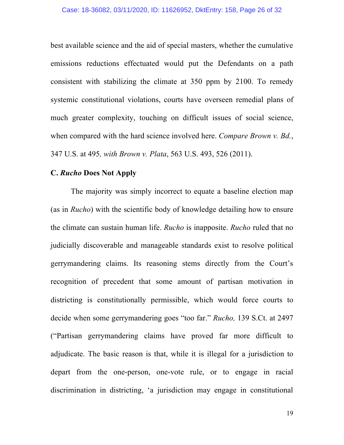best available science and the aid of special masters, whether the cumulative emissions reductions effectuated would put the Defendants on a path consistent with stabilizing the climate at 350 ppm by 2100. To remedy systemic constitutional violations, courts have overseen remedial plans of much greater complexity, touching on difficult issues of social science, when compared with the hard science involved here. *Compare Brown v. Bd.*, 347 U.S. at 495*, with Brown v. Plata*, 563 U.S. 493, 526 (2011).

#### **C.** *Rucho* **Does Not Apply**

The majority was simply incorrect to equate a baseline election map (as in *Rucho*) with the scientific body of knowledge detailing how to ensure the climate can sustain human life. *Rucho* is inapposite. *Rucho* ruled that no judicially discoverable and manageable standards exist to resolve political gerrymandering claims. Its reasoning stems directly from the Court's recognition of precedent that some amount of partisan motivation in districting is constitutionally permissible, which would force courts to decide when some gerrymandering goes "too far." *Rucho,* 139 S.Ct. at 2497 ("Partisan gerrymandering claims have proved far more difficult to adjudicate. The basic reason is that, while it is illegal for a jurisdiction to depart from the one-person, one-vote rule, or to engage in racial discrimination in districting, 'a jurisdiction may engage in constitutional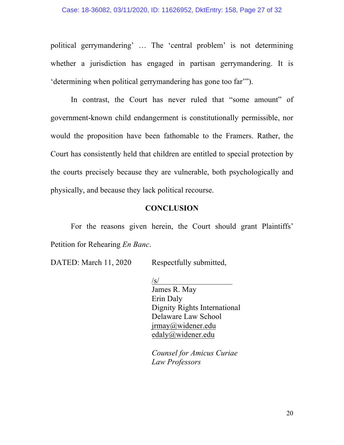political gerrymandering' … The 'central problem' is not determining whether a jurisdiction has engaged in partisan gerrymandering. It is 'determining when political gerrymandering has gone too far'").

In contrast, the Court has never ruled that "some amount" of government-known child endangerment is constitutionally permissible, nor would the proposition have been fathomable to the Framers. Rather, the Court has consistently held that children are entitled to special protection by the courts precisely because they are vulnerable, both psychologically and physically, and because they lack political recourse.

#### **CONCLUSION**

For the reasons given herein, the Court should grant Plaintiffs' Petition for Rehearing *En Banc*.

DATED: March 11, 2020 Respectfully submitted,

 $\sqrt{s}$ /

James R. May Erin Daly Dignity Rights International Delaware Law School jrmay@widener.edu edaly@widener.edu

*Counsel for Amicus Curiae Law Professors*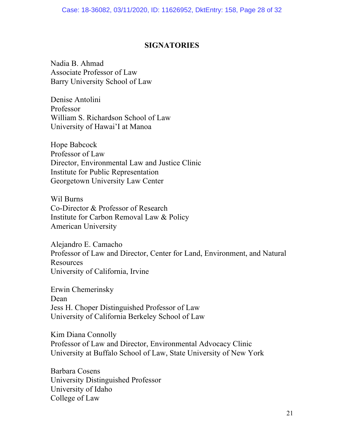#### **SIGNATORIES**

Nadia B. Ahmad Associate Professor of Law Barry University School of Law

Denise Antolini Professor William S. Richardson School of Law University of Hawai'I at Manoa

Hope Babcock Professor of Law Director, Environmental Law and Justice Clinic Institute for Public Representation Georgetown University Law Center

Wil Burns Co-Director & Professor of Research Institute for Carbon Removal Law & Policy American University

Alejandro E. Camacho Professor of Law and Director, Center for Land, Environment, and Natural Resources University of California, Irvine

Erwin Chemerinsky Dean Jess H. Choper Distinguished Professor of Law University of California Berkeley School of Law

Kim Diana Connolly Professor of Law and Director, Environmental Advocacy Clinic University at Buffalo School of Law, State University of New York

Barbara Cosens University Distinguished Professor University of Idaho College of Law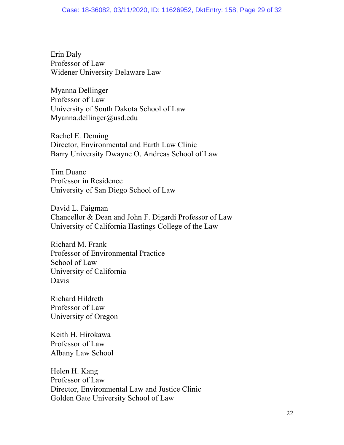Erin Daly Professor of Law Widener University Delaware Law

Myanna Dellinger Professor of Law University of South Dakota School of Law Myanna.dellinger@usd.edu

Rachel E. Deming Director, Environmental and Earth Law Clinic Barry University Dwayne O. Andreas School of Law

Tim Duane Professor in Residence University of San Diego School of Law

David L. Faigman Chancellor & Dean and John F. Digardi Professor of Law University of California Hastings College of the Law

Richard M. Frank Professor of Environmental Practice School of Law University of California Davis

Richard Hildreth Professor of Law University of Oregon

Keith H. Hirokawa Professor of Law Albany Law School

Helen H. Kang Professor of Law Director, Environmental Law and Justice Clinic Golden Gate University School of Law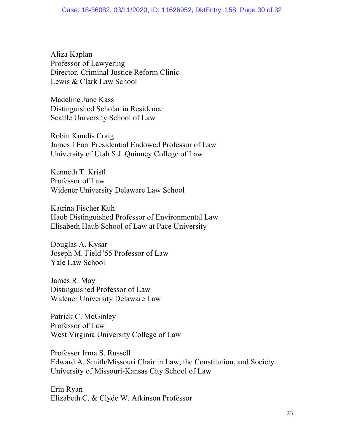Aliza Kaplan Professor of Lawyering Director, Criminal Justice Reform Clinic Lewis & Clark Law School

Madeline June Kass Distinguished Scholar in Residence Seattle University School of Law

Robin Kundis Craig James I Farr Presidential Endowed Professor of Law University of Utah S.J. Quinney College of Law

Kenneth T. Kristl Professor of Law Widener University Delaware Law School

Katrina Fischer Kuh Haub Distinguished Professor of Environmental Law Elisabeth Haub School of Law at Pace University

Douglas A. Kysar Joseph M. Field '55 Professor of Law Yale Law School

James R. May Distinguished Professor of Law Widener University Delaware Law

Patrick C. McGinley Professor of Law West Virginia University College of Law

Professor Irma S. Russell Edward A. Smith/Missouri Chair in Law, the Constitution, and Society University of Missouri-Kansas City School of Law

Erin Ryan Elizabeth C. & Clyde W. Atkinson Professor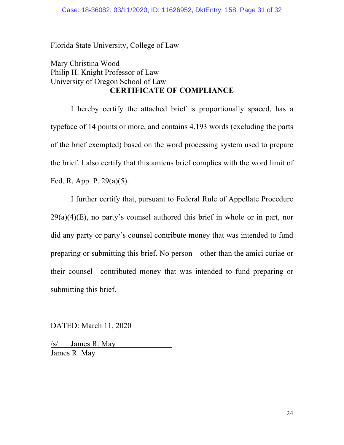Florida State University, College of Law

## Mary Christina Wood Philip H. Knight Professor of Law University of Oregon School of Law **CERTIFICATE OF COMPLIANCE**

I hereby certify the attached brief is proportionally spaced, has a typeface of 14 points or more, and contains 4,193 words (excluding the parts of the brief exempted) based on the word processing system used to prepare the brief. I also certify that this amicus brief complies with the word limit of Fed. R. App. P. 29(a)(5).

I further certify that, pursuant to Federal Rule of Appellate Procedure  $29(a)(4)(E)$ , no party's counsel authored this brief in whole or in part, nor did any party or party's counsel contribute money that was intended to fund preparing or submitting this brief. No person—other than the amici curiae or their counsel—contributed money that was intended to fund preparing or submitting this brief.

DATED: March 11, 2020

/s/ James R. May James R. May